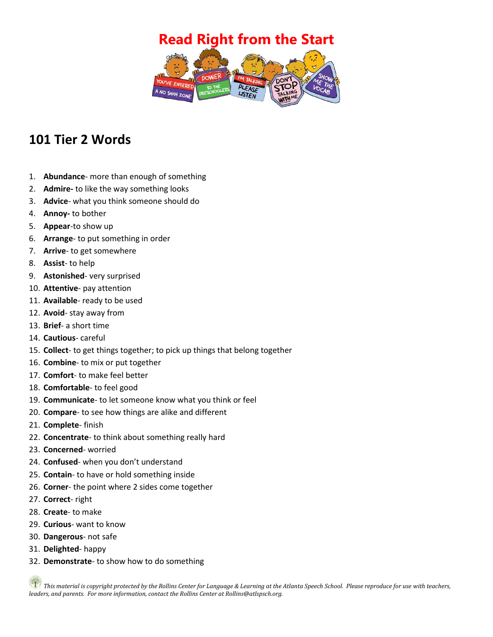## **Read Right from the Start**



## **101 Tier 2 Words**

- 1. **Abundance** more than enough of something
- 2. **Admire-** to like the way something looks
- 3. **Advice** what you think someone should do
- 4. **Annoy-** to bother
- 5. **Appear**-to show up
- 6. **Arrange** to put something in order
- 7. **Arrive** to get somewhere
- 8. **Assist** to help
- 9. **Astonished** very surprised
- 10. **Attentive** pay attention
- 11. **Available** ready to be used
- 12. **Avoid** stay away from
- 13. **Brief** a short time
- 14. **Cautious** careful
- 15. **Collect** to get things together; to pick up things that belong together
- 16. **Combine** to mix or put together
- 17. **Comfort** to make feel better
- 18. **Comfortable** to feel good
- 19. **Communicate** to let someone know what you think or feel
- 20. **Compare** to see how things are alike and different
- 21. **Complete** finish
- 22. **Concentrate** to think about something really hard
- 23. **Concerned** worried
- 24. **Confused** when you don't understand
- 25. **Contain** to have or hold something inside
- 26. **Corner** the point where 2 sides come together
- 27. **Correct** right
- 28. **Create** to make
- 29. **Curious** want to know
- 30. **Dangerous** not safe
- 31. **Delighted** happy
- 32. **Demonstrate** to show how to do something

*This material is copyright protected by the Rollins Center for Language & Learning at the Atlanta Speech School. Please reproduce for use with teachers, leaders, and parents. For more information, contact the Rollins Center at Rollins@atlspsch.org.*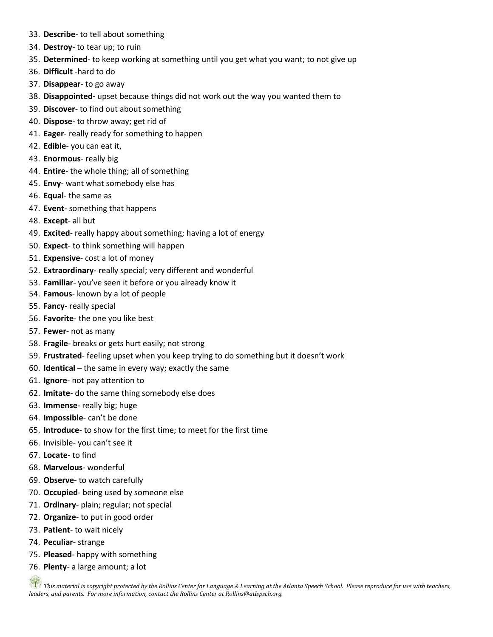- 33. **Describe** to tell about something
- 34. **Destroy** to tear up; to ruin
- 35. **Determined** to keep working at something until you get what you want; to not give up
- 36. **Difficult** -hard to do
- 37. **Disappear** to go away
- 38. **Disappointed-** upset because things did not work out the way you wanted them to
- 39. **Discover** to find out about something
- 40. **Dispose** to throw away; get rid of
- 41. **Eager** really ready for something to happen
- 42. **Edible** you can eat it,
- 43. **Enormous** really big
- 44. **Entire** the whole thing; all of something
- 45. **Envy** want what somebody else has
- 46. **Equal** the same as
- 47. **Event** something that happens
- 48. **Except** all but
- 49. **Excited** really happy about something; having a lot of energy
- 50. **Expect** to think something will happen
- 51. **Expensive** cost a lot of money
- 52. **Extraordinary** really special; very different and wonderful
- 53. **Familiar** you've seen it before or you already know it
- 54. **Famous** known by a lot of people
- 55. **Fancy** really special
- 56. **Favorite** the one you like best
- 57. **Fewer** not as many
- 58. **Fragile** breaks or gets hurt easily; not strong
- 59. **Frustrated** feeling upset when you keep trying to do something but it doesn't work
- 60. **Identical** the same in every way; exactly the same
- 61. **Ignore** not pay attention to
- 62. **Imitate** do the same thing somebody else does
- 63. **Immense** really big; huge
- 64. **Impossible** can't be done
- 65. **Introduce** to show for the first time; to meet for the first time
- 66. Invisible- you can't see it
- 67. **Locate** to find
- 68. **Marvelous** wonderful
- 69. **Observe** to watch carefully
- 70. **Occupied** being used by someone else
- 71. **Ordinary** plain; regular; not special
- 72. **Organize** to put in good order
- 73. **Patient** to wait nicely
- 74. **Peculiar** strange
- 75. **Pleased** happy with something
- 76. **Plenty** a large amount; a lot

*This material is copyright protected by the Rollins Center for Language & Learning at the Atlanta Speech School. Please reproduce for use with teachers, leaders, and parents. For more information, contact the Rollins Center at Rollins@atlspsch.org.*